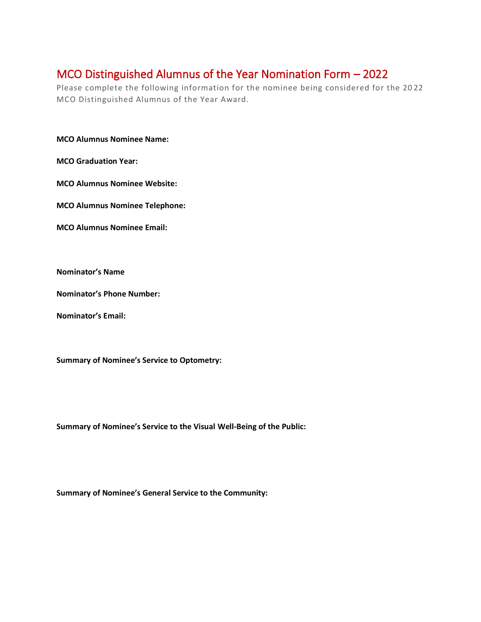## MCO Distinguished Alumnus of the Year Nomination Form – 2022

Please complete the following information for the nominee being considered for the 20 22 MCO Distinguished Alumnus of the Year Award.

**MCO Alumnus Nominee Name:**

**MCO Graduation Year:**

**MCO Alumnus Nominee Website:**

**MCO Alumnus Nominee Telephone:** 

**MCO Alumnus Nominee Email:**

**Nominator's Name**

**Nominator's Phone Number:**

**Nominator's Email:**

**Summary of Nominee's Service to Optometry:** 

**Summary of Nominee's Service to the Visual Well-Being of the Public:**

**Summary of Nominee's General Service to the Community:**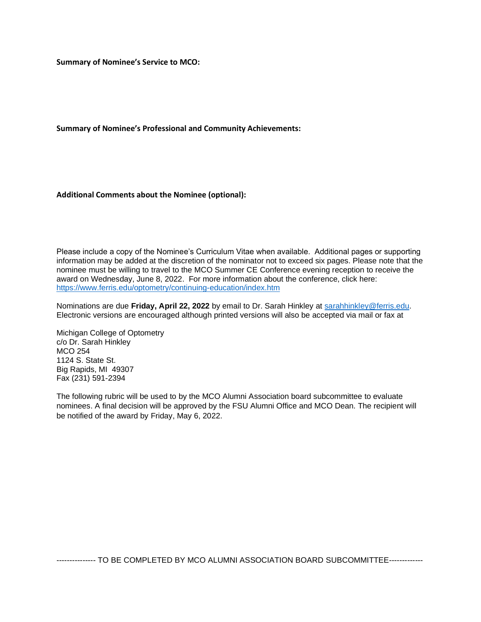**Summary of Nominee's Service to MCO:** 

**Summary of Nominee's Professional and Community Achievements:** 

**Additional Comments about the Nominee (optional):** 

Please include a copy of the Nominee's Curriculum Vitae when available. Additional pages or supporting information may be added at the discretion of the nominator not to exceed six pages. Please note that the nominee must be willing to travel to the MCO Summer CE Conference evening reception to receive the award on Wednesday, June 8, 2022. For more information about the conference, click here: <https://www.ferris.edu/optometry/continuing-education/index.htm>

Nominations are due **Friday, April 22, 2022** by email to Dr. Sarah Hinkley at [sarahhinkley@ferris.edu.](mailto:sarahhinkley@ferris.edu)  Electronic versions are encouraged although printed versions will also be accepted via mail or fax at

Michigan College of Optometry c/o Dr. Sarah Hinkley MCO 254 1124 S. State St. Big Rapids, MI 49307 Fax (231) 591-2394

The following rubric will be used to by the MCO Alumni Association board subcommittee to evaluate nominees. A final decision will be approved by the FSU Alumni Office and MCO Dean. The recipient will be notified of the award by Friday, May 6, 2022.